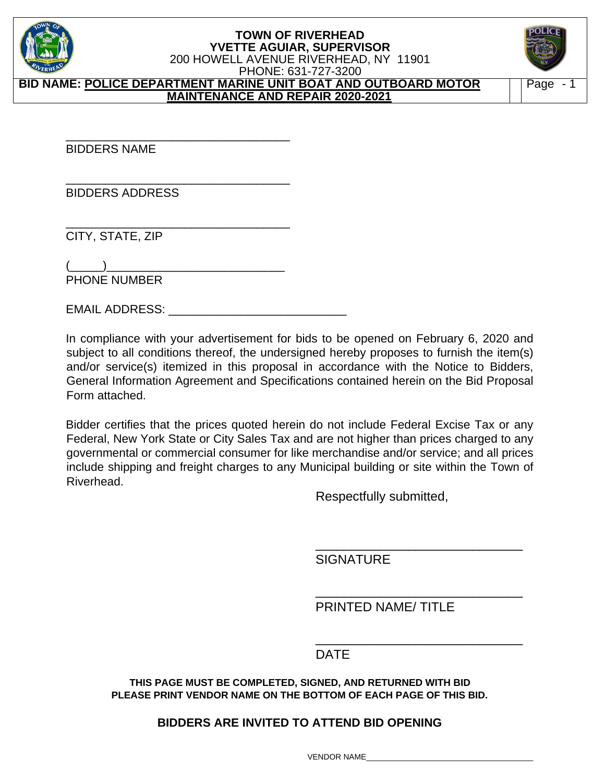

**BID NAME: POLICE DEPARTMENT MARINE UNIT BOAT AND OUTBOARD MOTOR MAINTENANCE AND REPAIR 2020-2021** 



BIDDERS NAME

BIDDERS ADDRESS

\_\_\_\_\_\_\_\_\_\_\_\_\_\_\_\_\_\_\_\_\_\_\_\_\_\_\_\_\_\_\_\_\_\_ CITY, STATE, ZIP

 $(\_\_$ ) PHONE NUMBER

\_\_\_\_\_\_\_\_\_\_\_\_\_\_\_\_\_\_\_\_\_\_\_\_\_\_\_\_\_\_\_\_\_\_

\_\_\_\_\_\_\_\_\_\_\_\_\_\_\_\_\_\_\_\_\_\_\_\_\_\_\_\_\_\_\_\_\_\_

EMAIL ADDRESS: \_\_\_\_\_\_

In compliance with your advertisement for bids to be opened on February 6, 2020 and subject to all conditions thereof, the undersigned hereby proposes to furnish the item(s) and/or service(s) itemized in this proposal in accordance with the Notice to Bidders, General Information Agreement and Specifications contained herein on the Bid Proposal Form attached.

Bidder certifies that the prices quoted herein do not include Federal Excise Tax or any Federal, New York State or City Sales Tax and are not higher than prices charged to any governmental or commercial consumer for like merchandise and/or service; and all prices include shipping and freight charges to any Municipal building or site within the Town of Riverhead.

Respectfully submitted,

**SIGNATURE** 

PRINTED NAME/ TITLE

\_\_\_\_\_\_\_\_\_\_\_\_\_\_\_\_\_\_\_\_\_\_\_\_\_\_\_\_\_

\_\_\_\_\_\_\_\_\_\_\_\_\_\_\_\_\_\_\_\_\_\_\_\_\_\_\_\_\_

## de la contrata de la contrata de la contrata de la contrata de la contrata de la contrata de la contrata de la

**THIS PAGE MUST BE COMPLETED, SIGNED, AND RETURNED WITH BID PLEASE PRINT VENDOR NAME ON THE BOTTOM OF EACH PAGE OF THIS BID.** 

 $\overline{\phantom{a}}$  , and the contract of the contract of the contract of the contract of the contract of the contract of the contract of the contract of the contract of the contract of the contract of the contract of the contrac

## **BIDDERS ARE INVITED TO ATTEND BID OPENING**

VENDOR NAME\_\_\_\_\_\_\_\_\_\_\_\_\_\_\_\_\_\_\_\_\_\_\_\_\_\_\_\_\_\_\_\_\_\_\_\_\_\_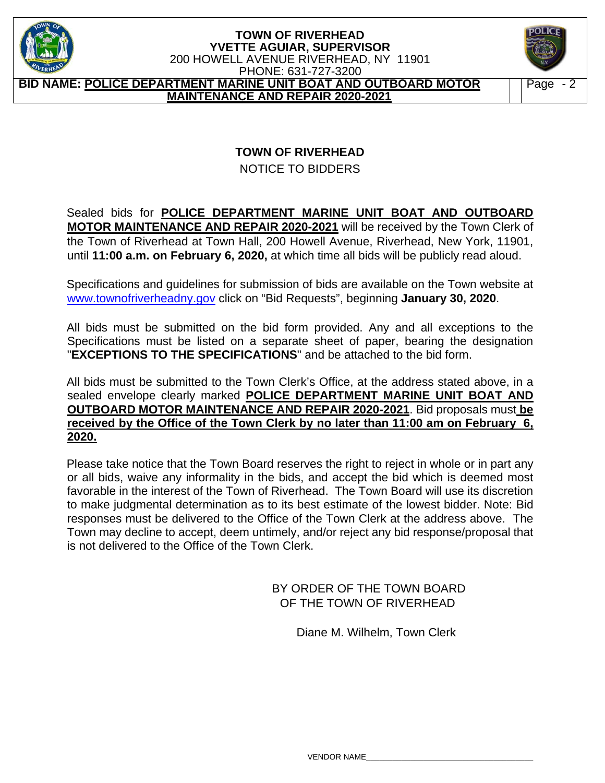

#### **TOWN OF RIVERHEAD YVETTE AGUIAR, SUPERVISOR**  200 HOWELL AVENUE RIVERHEAD, NY 11901 PHONE: 631-727-3200 **BID NAME: POLICE DEPARTMENT MARINE UNIT BOAT AND OUTBOARD MOTOR MAINTENANCE AND REPAIR 2020-2021**



# **TOWN OF RIVERHEAD**

NOTICE TO BIDDERS

### Sealed bids for **POLICE DEPARTMENT MARINE UNIT BOAT AND OUTBOARD MOTOR MAINTENANCE AND REPAIR 2020-2021** will be received by the Town Clerk of the Town of Riverhead at Town Hall, 200 Howell Avenue, Riverhead, New York, 11901, until **11:00 a.m. on February 6, 2020,** at which time all bids will be publicly read aloud.

Specifications and guidelines for submission of bids are available on the Town website at www.townofriverheadny.gov click on "Bid Requests", beginning **January 30, 2020**.

All bids must be submitted on the bid form provided. Any and all exceptions to the Specifications must be listed on a separate sheet of paper, bearing the designation "**EXCEPTIONS TO THE SPECIFICATIONS**" and be attached to the bid form.

All bids must be submitted to the Town Clerk's Office, at the address stated above, in a sealed envelope clearly marked **POLICE DEPARTMENT MARINE UNIT BOAT AND OUTBOARD MOTOR MAINTENANCE AND REPAIR 2020-2021**. Bid proposals must **be received by the Office of the Town Clerk by no later than 11:00 am on February 6, 2020.** 

Please take notice that the Town Board reserves the right to reject in whole or in part any or all bids, waive any informality in the bids, and accept the bid which is deemed most favorable in the interest of the Town of Riverhead. The Town Board will use its discretion to make judgmental determination as to its best estimate of the lowest bidder. Note: Bid responses must be delivered to the Office of the Town Clerk at the address above. The Town may decline to accept, deem untimely, and/or reject any bid response/proposal that is not delivered to the Office of the Town Clerk.

> BY ORDER OF THE TOWN BOARD OF THE TOWN OF RIVERHEAD

> > Diane M. Wilhelm, Town Clerk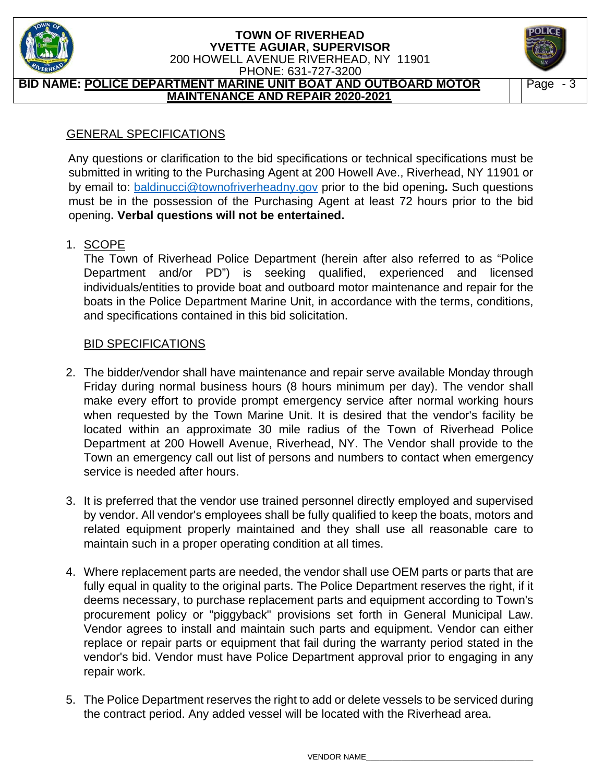

#### **TOWN OF RIVERHEAD YVETTE AGUIAR, SUPERVISOR**  200 HOWELL AVENUE RIVERHEAD, NY 11901 PHONE: 631-727-3200 **BID NAME: POLICE DEPARTMENT MARINE UNIT BOAT AND OUTBOARD MOTOR**

**MAINTENANCE AND REPAIR 2020-2021** 



## GENERAL SPECIFICATIONS

Any questions or clarification to the bid specifications or technical specifications must be submitted in writing to the Purchasing Agent at 200 Howell Ave., Riverhead, NY 11901 or by email to: baldinucci@townofriverheadny.gov prior to the bid opening**.** Such questions must be in the possession of the Purchasing Agent at least 72 hours prior to the bid opening**. Verbal questions will not be entertained.** 

## 1. SCOPE

The Town of Riverhead Police Department (herein after also referred to as "Police Department and/or PD") is seeking qualified, experienced and licensed individuals/entities to provide boat and outboard motor maintenance and repair for the boats in the Police Department Marine Unit, in accordance with the terms, conditions, and specifications contained in this bid solicitation.

## BID SPECIFICATIONS

- 2. The bidder/vendor shall have maintenance and repair serve available Monday through Friday during normal business hours (8 hours minimum per day). The vendor shall make every effort to provide prompt emergency service after normal working hours when requested by the Town Marine Unit. It is desired that the vendor's facility be located within an approximate 30 mile radius of the Town of Riverhead Police Department at 200 Howell Avenue, Riverhead, NY. The Vendor shall provide to the Town an emergency call out list of persons and numbers to contact when emergency service is needed after hours.
- 3. It is preferred that the vendor use trained personnel directly employed and supervised by vendor. All vendor's employees shall be fully qualified to keep the boats, motors and related equipment properly maintained and they shall use all reasonable care to maintain such in a proper operating condition at all times.
- 4. Where replacement parts are needed, the vendor shall use OEM parts or parts that are fully equal in quality to the original parts. The Police Department reserves the right, if it deems necessary, to purchase replacement parts and equipment according to Town's procurement policy or "piggyback" provisions set forth in General Municipal Law. Vendor agrees to install and maintain such parts and equipment. Vendor can either replace or repair parts or equipment that fail during the warranty period stated in the vendor's bid. Vendor must have Police Department approval prior to engaging in any repair work.
- 5. The Police Department reserves the right to add or delete vessels to be serviced during the contract period. Any added vessel will be located with the Riverhead area.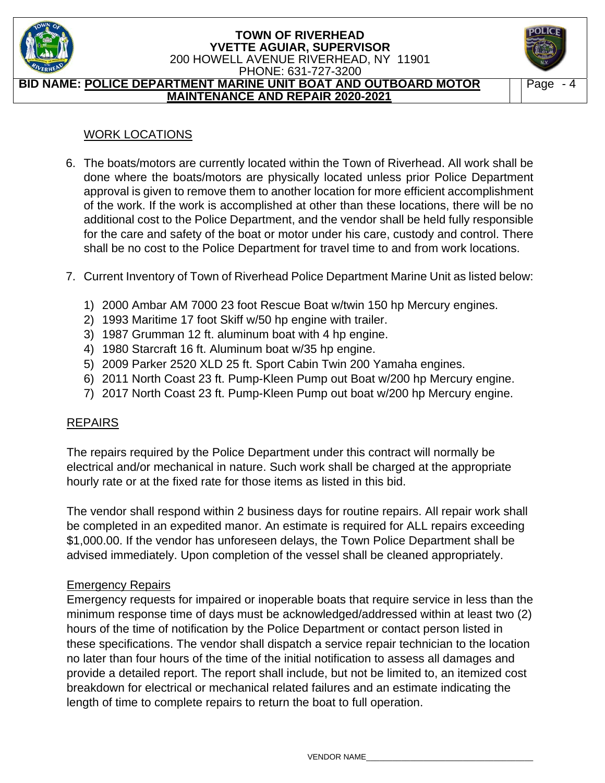

#### **TOWN OF RIVERHEAD YVETTE AGUIAR, SUPERVISOR**  200 HOWELL AVENUE RIVERHEAD, NY 11901 PHONE: 631-727-3200 **BID NAME: POLICE DEPARTMENT MARINE UNIT BOAT AND OUTBOARD MOTOR**

**MAINTENANCE AND REPAIR 2020-2021** 



## WORK LOCATIONS

- 6. The boats/motors are currently located within the Town of Riverhead. All work shall be done where the boats/motors are physically located unless prior Police Department approval is given to remove them to another location for more efficient accomplishment of the work. If the work is accomplished at other than these locations, there will be no additional cost to the Police Department, and the vendor shall be held fully responsible for the care and safety of the boat or motor under his care, custody and control. There shall be no cost to the Police Department for travel time to and from work locations.
- 7. Current Inventory of Town of Riverhead Police Department Marine Unit as listed below:
	- 1) 2000 Ambar AM 7000 23 foot Rescue Boat w/twin 150 hp Mercury engines.
	- 2) 1993 Maritime 17 foot Skiff w/50 hp engine with trailer.
	- 3) 1987 Grumman 12 ft. aluminum boat with 4 hp engine.
	- 4) 1980 Starcraft 16 ft. Aluminum boat w/35 hp engine.
	- 5) 2009 Parker 2520 XLD 25 ft. Sport Cabin Twin 200 Yamaha engines.
	- 6) 2011 North Coast 23 ft. Pump-Kleen Pump out Boat w/200 hp Mercury engine.
	- 7) 2017 North Coast 23 ft. Pump-Kleen Pump out boat w/200 hp Mercury engine.

## REPAIRS

The repairs required by the Police Department under this contract will normally be electrical and/or mechanical in nature. Such work shall be charged at the appropriate hourly rate or at the fixed rate for those items as listed in this bid.

The vendor shall respond within 2 business days for routine repairs. All repair work shall be completed in an expedited manor. An estimate is required for ALL repairs exceeding \$1,000.00. If the vendor has unforeseen delays, the Town Police Department shall be advised immediately. Upon completion of the vessel shall be cleaned appropriately.

## Emergency Repairs

Emergency requests for impaired or inoperable boats that require service in less than the minimum response time of days must be acknowledged/addressed within at least two (2) hours of the time of notification by the Police Department or contact person listed in these specifications. The vendor shall dispatch a service repair technician to the location no later than four hours of the time of the initial notification to assess all damages and provide a detailed report. The report shall include, but not be limited to, an itemized cost breakdown for electrical or mechanical related failures and an estimate indicating the length of time to complete repairs to return the boat to full operation.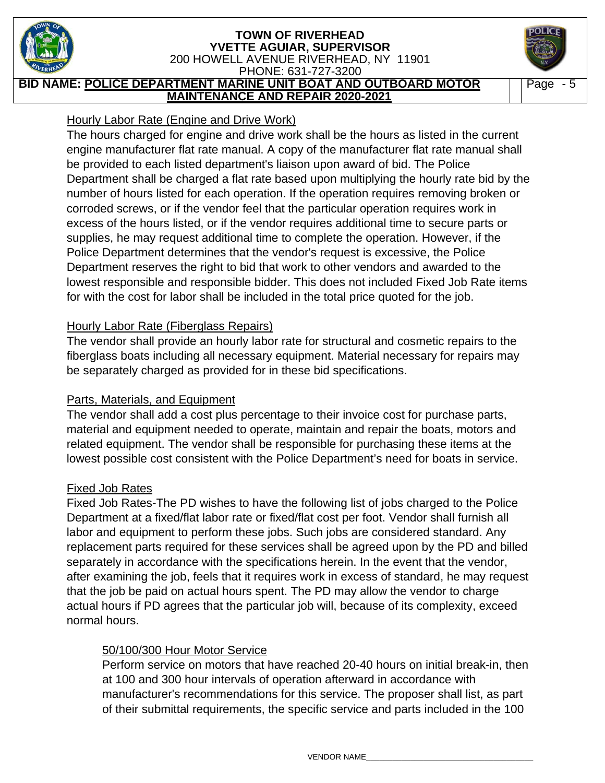

**BID NAME: POLICE DEPARTMENT MARINE UNIT BOAT AND OUTBOARD MOTOR MAINTENANCE AND REPAIR 2020-2021** 

Page - 5

## Hourly Labor Rate (Engine and Drive Work)

The hours charged for engine and drive work shall be the hours as listed in the current engine manufacturer flat rate manual. A copy of the manufacturer flat rate manual shall be provided to each listed department's liaison upon award of bid. The Police Department shall be charged a flat rate based upon multiplying the hourly rate bid by the number of hours listed for each operation. If the operation requires removing broken or corroded screws, or if the vendor feel that the particular operation requires work in excess of the hours listed, or if the vendor requires additional time to secure parts or supplies, he may request additional time to complete the operation. However, if the Police Department determines that the vendor's request is excessive, the Police Department reserves the right to bid that work to other vendors and awarded to the lowest responsible and responsible bidder. This does not included Fixed Job Rate items for with the cost for labor shall be included in the total price quoted for the job.

### Hourly Labor Rate (Fiberglass Repairs)

The vendor shall provide an hourly labor rate for structural and cosmetic repairs to the fiberglass boats including all necessary equipment. Material necessary for repairs may be separately charged as provided for in these bid specifications.

## Parts, Materials, and Equipment

The vendor shall add a cost plus percentage to their invoice cost for purchase parts, material and equipment needed to operate, maintain and repair the boats, motors and related equipment. The vendor shall be responsible for purchasing these items at the lowest possible cost consistent with the Police Department's need for boats in service.

## Fixed Job Rates

Fixed Job Rates-The PD wishes to have the following list of jobs charged to the Police Department at a fixed/flat labor rate or fixed/flat cost per foot. Vendor shall furnish all labor and equipment to perform these jobs. Such jobs are considered standard. Any replacement parts required for these services shall be agreed upon by the PD and billed separately in accordance with the specifications herein. In the event that the vendor, after examining the job, feels that it requires work in excess of standard, he may request that the job be paid on actual hours spent. The PD may allow the vendor to charge actual hours if PD agrees that the particular job will, because of its complexity, exceed normal hours.

## 50/100/300 Hour Motor Service

Perform service on motors that have reached 20-40 hours on initial break-in, then at 100 and 300 hour intervals of operation afterward in accordance with manufacturer's recommendations for this service. The proposer shall list, as part of their submittal requirements, the specific service and parts included in the 100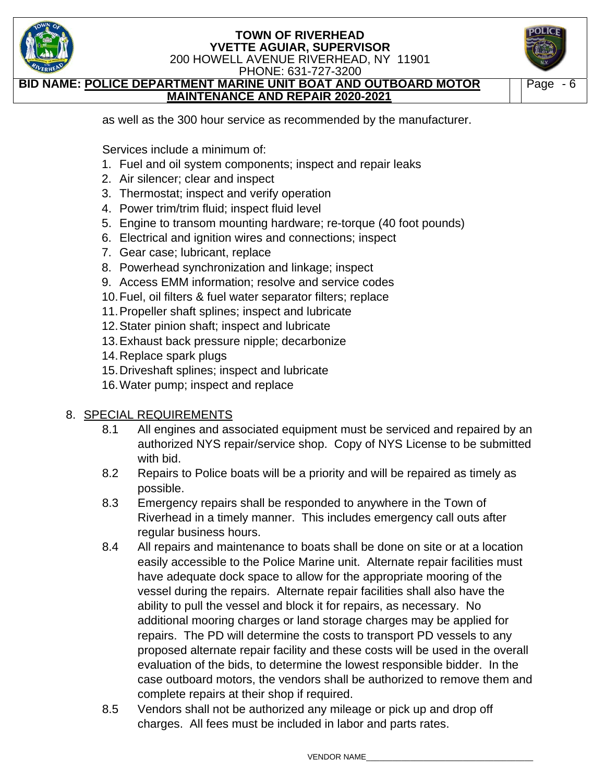

PHONE: 631-727-3200

**AME: POLICE DEPARTMENT MARINE UNIT BOAT AND OUTBOARD MOTOR MAINTENANCE AND REPAIR 2020-2021** 



as well as the 300 hour service as recommended by the manufacturer.

Services include a minimum of:

- 1. Fuel and oil system components; inspect and repair leaks
- 2. Air silencer; clear and inspect
- 3. Thermostat; inspect and verify operation
- 4. Power trim/trim fluid; inspect fluid level
- 5. Engine to transom mounting hardware; re-torque (40 foot pounds)
- 6. Electrical and ignition wires and connections; inspect
- 7. Gear case; lubricant, replace
- 8. Powerhead synchronization and linkage; inspect
- 9. Access EMM information; resolve and service codes
- 10. Fuel, oil filters & fuel water separator filters; replace
- 11. Propeller shaft splines; inspect and lubricate
- 12. Stater pinion shaft; inspect and lubricate
- 13. Exhaust back pressure nipple; decarbonize
- 14. Replace spark plugs
- 15. Driveshaft splines; inspect and lubricate
- 16. Water pump; inspect and replace

## 8. SPECIAL REQUIREMENTS

- 8.1 All engines and associated equipment must be serviced and repaired by an authorized NYS repair/service shop. Copy of NYS License to be submitted with bid.
- 8.2 Repairs to Police boats will be a priority and will be repaired as timely as possible.
- 8.3 Emergency repairs shall be responded to anywhere in the Town of Riverhead in a timely manner. This includes emergency call outs after regular business hours.
- 8.4 All repairs and maintenance to boats shall be done on site or at a location easily accessible to the Police Marine unit. Alternate repair facilities must have adequate dock space to allow for the appropriate mooring of the vessel during the repairs. Alternate repair facilities shall also have the ability to pull the vessel and block it for repairs, as necessary. No additional mooring charges or land storage charges may be applied for repairs. The PD will determine the costs to transport PD vessels to any proposed alternate repair facility and these costs will be used in the overall evaluation of the bids, to determine the lowest responsible bidder. In the case outboard motors, the vendors shall be authorized to remove them and complete repairs at their shop if required.
- 8.5 Vendors shall not be authorized any mileage or pick up and drop off charges. All fees must be included in labor and parts rates.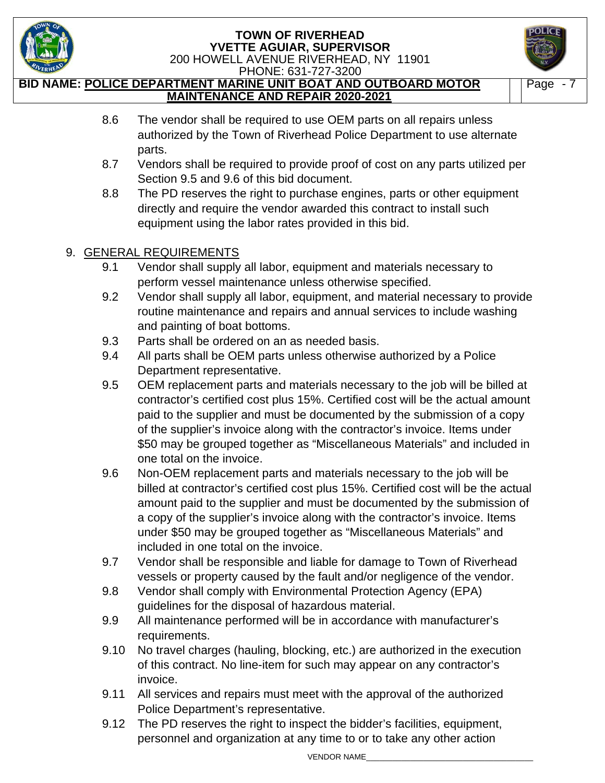



 PHONE: 631-727-3200 **BID NAME: POLICE DEPARTMENT MARINE UNIT BOAT AND OUTBOARD MOTOR MAINTENANCE AND REPAIR 2020-2021** 

- Page 7
- 8.6 The vendor shall be required to use OEM parts on all repairs unless authorized by the Town of Riverhead Police Department to use alternate parts.
- 8.7 Vendors shall be required to provide proof of cost on any parts utilized per Section 9.5 and 9.6 of this bid document.
- 8.8 The PD reserves the right to purchase engines, parts or other equipment directly and require the vendor awarded this contract to install such equipment using the labor rates provided in this bid.

# 9. GENERAL REQUIREMENTS

- 9.1 Vendor shall supply all labor, equipment and materials necessary to perform vessel maintenance unless otherwise specified.
- 9.2 Vendor shall supply all labor, equipment, and material necessary to provide routine maintenance and repairs and annual services to include washing and painting of boat bottoms.
- 9.3 Parts shall be ordered on an as needed basis.
- 9.4 All parts shall be OEM parts unless otherwise authorized by a Police Department representative.
- 9.5 OEM replacement parts and materials necessary to the job will be billed at contractor's certified cost plus 15%. Certified cost will be the actual amount paid to the supplier and must be documented by the submission of a copy of the supplier's invoice along with the contractor's invoice. Items under \$50 may be grouped together as "Miscellaneous Materials" and included in one total on the invoice.
- 9.6 Non-OEM replacement parts and materials necessary to the job will be billed at contractor's certified cost plus 15%. Certified cost will be the actual amount paid to the supplier and must be documented by the submission of a copy of the supplier's invoice along with the contractor's invoice. Items under \$50 may be grouped together as "Miscellaneous Materials" and included in one total on the invoice.
- 9.7 Vendor shall be responsible and liable for damage to Town of Riverhead vessels or property caused by the fault and/or negligence of the vendor.
- 9.8 Vendor shall comply with Environmental Protection Agency (EPA) guidelines for the disposal of hazardous material.
- 9.9 All maintenance performed will be in accordance with manufacturer's requirements.
- 9.10 No travel charges (hauling, blocking, etc.) are authorized in the execution of this contract. No line-item for such may appear on any contractor's invoice.
- 9.11 All services and repairs must meet with the approval of the authorized Police Department's representative.
- 9.12 The PD reserves the right to inspect the bidder's facilities, equipment, personnel and organization at any time to or to take any other action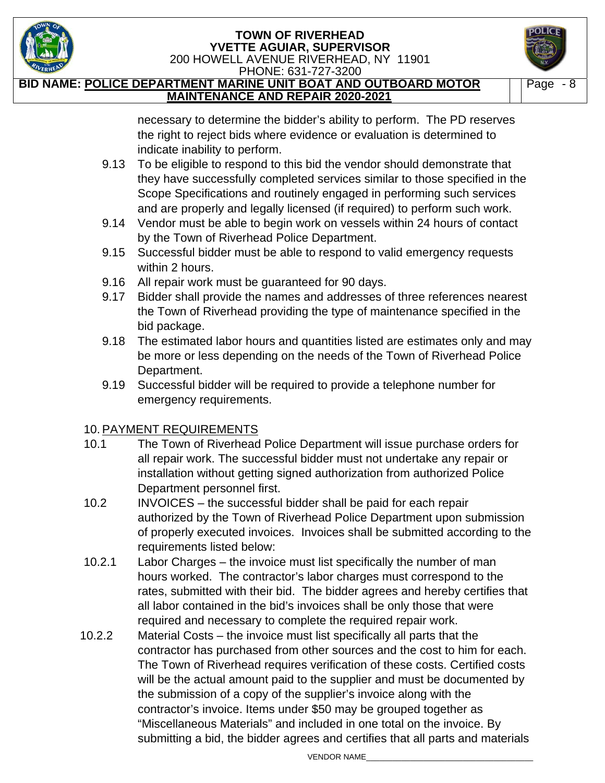



PHONE: 631-727-3200

**BID NAME: POLICE DEPARTMENT MARINE UNIT BOAT AND OUTBOARD MOTOR MAINTENANCE AND REPAIR 2020-2021** 

Page - 8

necessary to determine the bidder's ability to perform. The PD reserves the right to reject bids where evidence or evaluation is determined to indicate inability to perform.

- 9.13 To be eligible to respond to this bid the vendor should demonstrate that they have successfully completed services similar to those specified in the Scope Specifications and routinely engaged in performing such services and are properly and legally licensed (if required) to perform such work.
- 9.14 Vendor must be able to begin work on vessels within 24 hours of contact by the Town of Riverhead Police Department.
- 9.15 Successful bidder must be able to respond to valid emergency requests within 2 hours.
- 9.16 All repair work must be guaranteed for 90 days.
- 9.17 Bidder shall provide the names and addresses of three references nearest the Town of Riverhead providing the type of maintenance specified in the bid package.
- 9.18 The estimated labor hours and quantities listed are estimates only and may be more or less depending on the needs of the Town of Riverhead Police Department.
- 9.19 Successful bidder will be required to provide a telephone number for emergency requirements.

## 10. PAYMENT REQUIREMENTS

- 10.1 The Town of Riverhead Police Department will issue purchase orders for all repair work. The successful bidder must not undertake any repair or installation without getting signed authorization from authorized Police Department personnel first.
- 10.2 INVOICES the successful bidder shall be paid for each repair authorized by the Town of Riverhead Police Department upon submission of properly executed invoices. Invoices shall be submitted according to the requirements listed below:
- 10.2.1 Labor Charges the invoice must list specifically the number of man hours worked. The contractor's labor charges must correspond to the rates, submitted with their bid. The bidder agrees and hereby certifies that all labor contained in the bid's invoices shall be only those that were required and necessary to complete the required repair work.
- 10.2.2 Material Costs the invoice must list specifically all parts that the contractor has purchased from other sources and the cost to him for each. The Town of Riverhead requires verification of these costs. Certified costs will be the actual amount paid to the supplier and must be documented by the submission of a copy of the supplier's invoice along with the contractor's invoice. Items under \$50 may be grouped together as "Miscellaneous Materials" and included in one total on the invoice. By submitting a bid, the bidder agrees and certifies that all parts and materials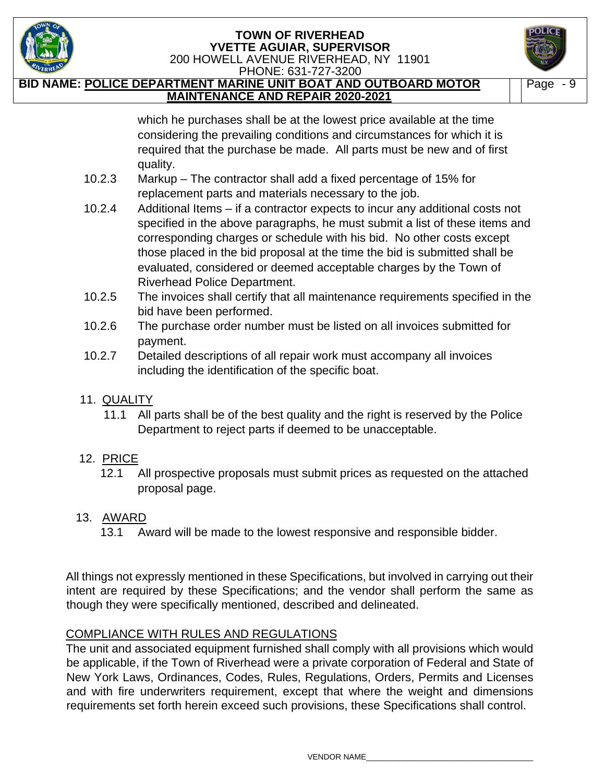

 PHONE: 631-727-3200 **BID NAME: POLICE DEPARTMENT MARINE UNIT BOAT AND OUTBOARD MOTOR MAINTENANCE AND REPAIR 2020-2021** 



which he purchases shall be at the lowest price available at the time considering the prevailing conditions and circumstances for which it is required that the purchase be made. All parts must be new and of first quality.

- 10.2.3 Markup The contractor shall add a fixed percentage of 15% for replacement parts and materials necessary to the job.
- 10.2.4 Additional Items if a contractor expects to incur any additional costs not specified in the above paragraphs, he must submit a list of these items and corresponding charges or schedule with his bid. No other costs except those placed in the bid proposal at the time the bid is submitted shall be evaluated, considered or deemed acceptable charges by the Town of Riverhead Police Department.
- 10.2.5 The invoices shall certify that all maintenance requirements specified in the bid have been performed.
- 10.2.6 The purchase order number must be listed on all invoices submitted for payment.
- 10.2.7 Detailed descriptions of all repair work must accompany all invoices including the identification of the specific boat.

## 11. QUALITY

 11.1 All parts shall be of the best quality and the right is reserved by the Police Department to reject parts if deemed to be unacceptable.

## 12. PRICE

 12.1 All prospective proposals must submit prices as requested on the attached proposal page.

# 13. AWARD

13.1 Award will be made to the lowest responsive and responsible bidder.

All things not expressly mentioned in these Specifications, but involved in carrying out their intent are required by these Specifications; and the vendor shall perform the same as though they were specifically mentioned, described and delineated.

# COMPLIANCE WITH RULES AND REGULATIONS

The unit and associated equipment furnished shall comply with all provisions which would be applicable, if the Town of Riverhead were a private corporation of Federal and State of New York Laws, Ordinances, Codes, Rules, Regulations, Orders, Permits and Licenses and with fire underwriters requirement, except that where the weight and dimensions requirements set forth herein exceed such provisions, these Specifications shall control.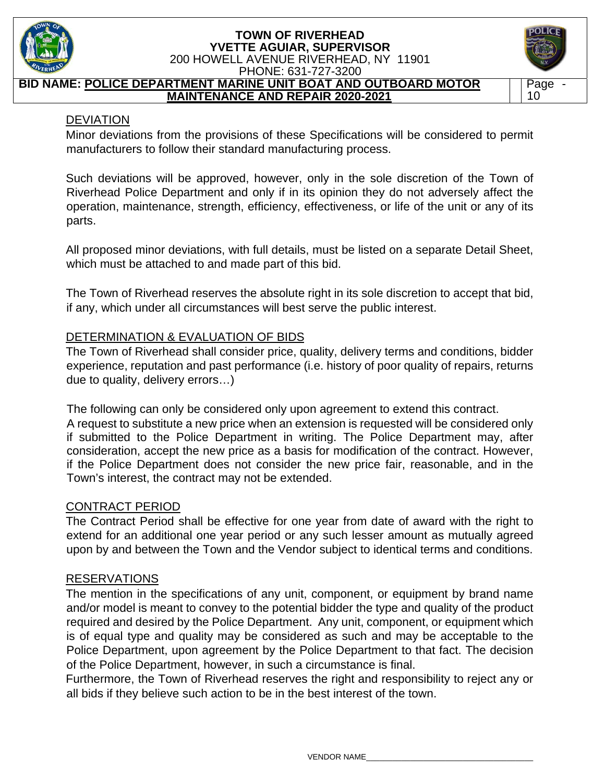

**BID NAME: POLICE DEPARTMENT MARINE UNIT BOAT AND OUTBOARD MOTOR** 





#### DEVIATION

Minor deviations from the provisions of these Specifications will be considered to permit manufacturers to follow their standard manufacturing process.

Such deviations will be approved, however, only in the sole discretion of the Town of Riverhead Police Department and only if in its opinion they do not adversely affect the operation, maintenance, strength, efficiency, effectiveness, or life of the unit or any of its parts.

All proposed minor deviations, with full details, must be listed on a separate Detail Sheet, which must be attached to and made part of this bid.

The Town of Riverhead reserves the absolute right in its sole discretion to accept that bid, if any, which under all circumstances will best serve the public interest.

### DETERMINATION & EVALUATION OF BIDS

The Town of Riverhead shall consider price, quality, delivery terms and conditions, bidder experience, reputation and past performance (i.e. history of poor quality of repairs, returns due to quality, delivery errors…)

The following can only be considered only upon agreement to extend this contract.

A request to substitute a new price when an extension is requested will be considered only if submitted to the Police Department in writing. The Police Department may, after consideration, accept the new price as a basis for modification of the contract. However, if the Police Department does not consider the new price fair, reasonable, and in the Town's interest, the contract may not be extended.

#### CONTRACT PERIOD

The Contract Period shall be effective for one year from date of award with the right to extend for an additional one year period or any such lesser amount as mutually agreed upon by and between the Town and the Vendor subject to identical terms and conditions.

#### RESERVATIONS

The mention in the specifications of any unit, component, or equipment by brand name and/or model is meant to convey to the potential bidder the type and quality of the product required and desired by the Police Department. Any unit, component, or equipment which is of equal type and quality may be considered as such and may be acceptable to the Police Department, upon agreement by the Police Department to that fact. The decision of the Police Department, however, in such a circumstance is final.

Furthermore, the Town of Riverhead reserves the right and responsibility to reject any or all bids if they believe such action to be in the best interest of the town.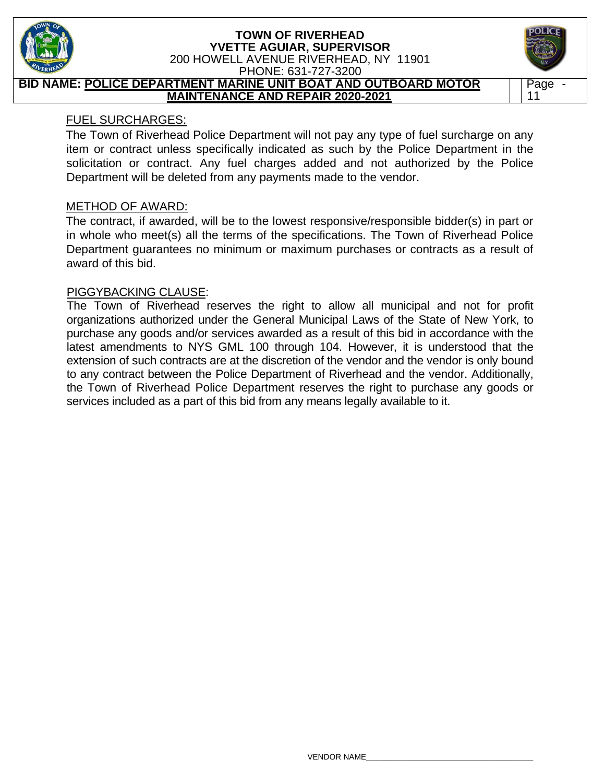

#### **BID NAME: POLICE DEPARTMENT MARINE UNIT BOAT AND OUTBOARD MOTOR MAINTENANCE AND REPAIR 2020-2021**

## FUEL SURCHARGES:

The Town of Riverhead Police Department will not pay any type of fuel surcharge on any item or contract unless specifically indicated as such by the Police Department in the solicitation or contract. Any fuel charges added and not authorized by the Police Department will be deleted from any payments made to the vendor.

## METHOD OF AWARD:

The contract, if awarded, will be to the lowest responsive/responsible bidder(s) in part or in whole who meet(s) all the terms of the specifications. The Town of Riverhead Police Department guarantees no minimum or maximum purchases or contracts as a result of award of this bid.

#### PIGGYBACKING CLAUSE:

The Town of Riverhead reserves the right to allow all municipal and not for profit organizations authorized under the General Municipal Laws of the State of New York, to purchase any goods and/or services awarded as a result of this bid in accordance with the latest amendments to NYS GML 100 through 104. However, it is understood that the extension of such contracts are at the discretion of the vendor and the vendor is only bound to any contract between the Police Department of Riverhead and the vendor. Additionally, the Town of Riverhead Police Department reserves the right to purchase any goods or services included as a part of this bid from any means legally available to it.

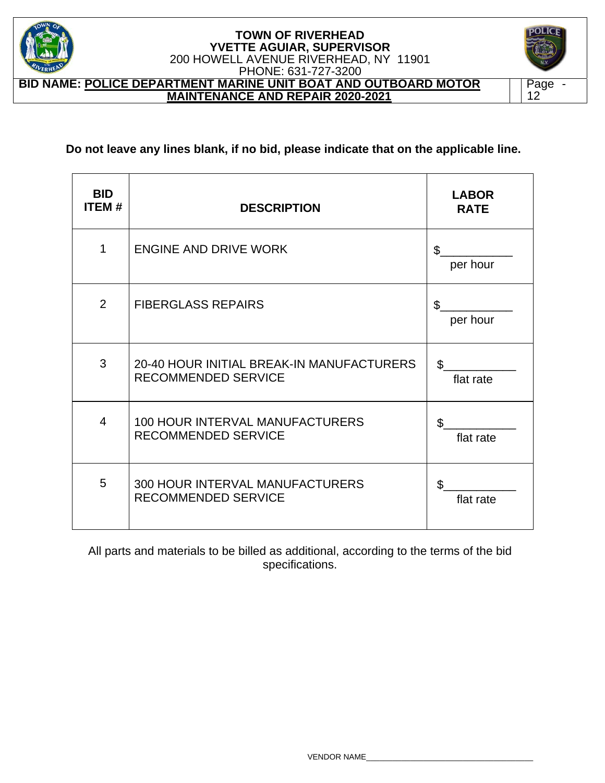

**BID NAME: POLICE DEPARTMENT MARINE UNIT BOAT AND OUTBOARD MOTOR MAINTENANCE AND REPAIR 2020-2021** 



**Do not leave any lines blank, if no bid, please indicate that on the applicable line.** 

| <b>BID</b><br><b>ITEM#</b> | <b>DESCRIPTION</b>                                                      | <b>LABOR</b><br><b>RATE</b> |
|----------------------------|-------------------------------------------------------------------------|-----------------------------|
| 1                          | <b>ENGINE AND DRIVE WORK</b>                                            | \$<br>per hour              |
| 2                          | <b>FIBERGLASS REPAIRS</b>                                               | \$<br>per hour              |
| 3                          | 20-40 HOUR INITIAL BREAK-IN MANUFACTURERS<br><b>RECOMMENDED SERVICE</b> | \$<br>flat rate             |
| 4                          | <b>100 HOUR INTERVAL MANUFACTURERS</b><br><b>RECOMMENDED SERVICE</b>    | $\mathfrak{L}$<br>flat rate |
| 5                          | 300 HOUR INTERVAL MANUFACTURERS<br><b>RECOMMENDED SERVICE</b>           | flat rate                   |

All parts and materials to be billed as additional, according to the terms of the bid specifications.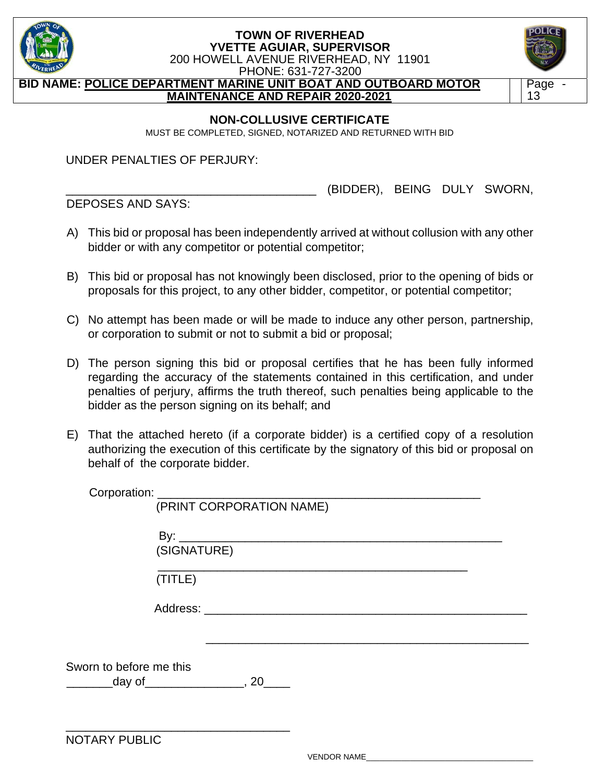

PHONE: 631-727-3200

**BID NAME: POLICE DEPARTMENT MARINE UNIT BOAT AND OUTBOARD MOTOR MAINTENANCE AND REPAIR 2020-2021** 



#### **NON-COLLUSIVE CERTIFICATE**

MUST BE COMPLETED, SIGNED, NOTARIZED AND RETURNED WITH BID

UNDER PENALTIES OF PERJURY:

DEPOSES AND SAYS:

\_\_\_\_\_\_\_\_\_\_\_\_\_\_\_\_\_\_\_\_\_\_\_\_\_\_\_\_\_\_\_\_\_\_\_\_\_\_ (BIDDER), BEING DULY SWORN,

- A) This bid or proposal has been independently arrived at without collusion with any other bidder or with any competitor or potential competitor;
- B) This bid or proposal has not knowingly been disclosed, prior to the opening of bids or proposals for this project, to any other bidder, competitor, or potential competitor;
- C) No attempt has been made or will be made to induce any other person, partnership, or corporation to submit or not to submit a bid or proposal;
- D) The person signing this bid or proposal certifies that he has been fully informed regarding the accuracy of the statements contained in this certification, and under penalties of perjury, affirms the truth thereof, such penalties being applicable to the bidder as the person signing on its behalf; and
- E) That the attached hereto (if a corporate bidder) is a certified copy of a resolution authorizing the execution of this certificate by the signatory of this bid or proposal on behalf of the corporate bidder.

Corporation: \_\_\_\_\_\_\_\_\_\_\_\_\_\_\_\_\_\_\_\_\_\_\_\_\_\_\_\_\_\_\_\_\_\_\_\_\_\_\_\_\_\_\_\_\_\_\_\_\_

|                                                                                   | (PRINT CORPORATION NAME) |
|-----------------------------------------------------------------------------------|--------------------------|
| (SIGNATURE)                                                                       |                          |
| (TITLE)                                                                           |                          |
|                                                                                   |                          |
|                                                                                   |                          |
| Sworn to before me this<br>____________day of_________________________, 20_______ |                          |
| <b>NOTARY PUBLIC</b>                                                              |                          |

VENDOR NAME\_\_\_\_\_\_\_\_\_\_\_\_\_\_\_\_\_\_\_\_\_\_\_\_\_\_\_\_\_\_\_\_\_\_\_\_\_\_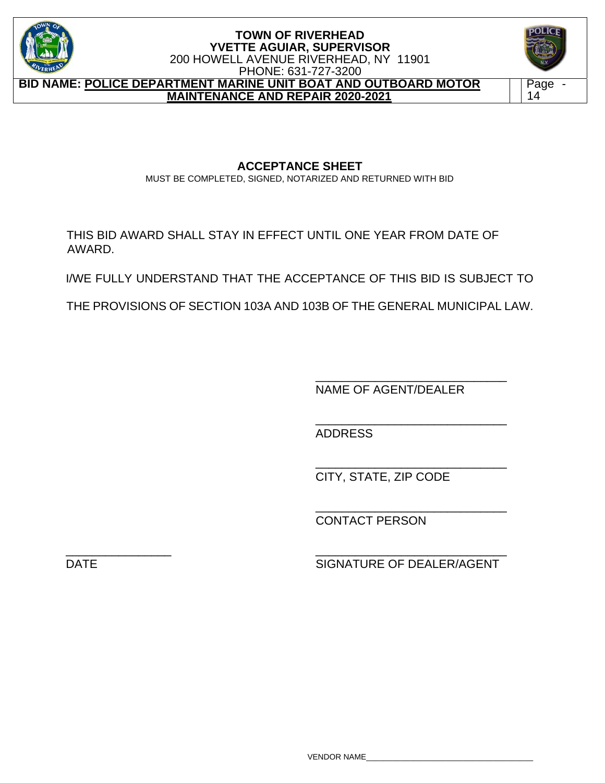

**BID NAME: POLICE DEPARTMENT MARINE UNIT BOAT AND OUTBOARD MOTOR MAINTENANCE AND REPAIR 2020-2021** 



**ACCEPTANCE SHEET**  MUST BE COMPLETED, SIGNED, NOTARIZED AND RETURNED WITH BID

THIS BID AWARD SHALL STAY IN EFFECT UNTIL ONE YEAR FROM DATE OF AWARD.

I/WE FULLY UNDERSTAND THAT THE ACCEPTANCE OF THIS BID IS SUBJECT TO

THE PROVISIONS OF SECTION 103A AND 103B OF THE GENERAL MUNICIPAL LAW.

 $\frac{1}{\sqrt{2\pi}}$  ,  $\frac{1}{\sqrt{2\pi}}$  ,  $\frac{1}{\sqrt{2\pi}}$  ,  $\frac{1}{\sqrt{2\pi}}$  ,  $\frac{1}{\sqrt{2\pi}}$  ,  $\frac{1}{\sqrt{2\pi}}$  ,  $\frac{1}{\sqrt{2\pi}}$  ,  $\frac{1}{\sqrt{2\pi}}$  ,  $\frac{1}{\sqrt{2\pi}}$  ,  $\frac{1}{\sqrt{2\pi}}$  ,  $\frac{1}{\sqrt{2\pi}}$  ,  $\frac{1}{\sqrt{2\pi}}$  ,  $\frac{1}{\sqrt{2\pi}}$  ,

 $\frac{1}{\sqrt{2\pi}}$  ,  $\frac{1}{\sqrt{2\pi}}$  ,  $\frac{1}{\sqrt{2\pi}}$  ,  $\frac{1}{\sqrt{2\pi}}$  ,  $\frac{1}{\sqrt{2\pi}}$  ,  $\frac{1}{\sqrt{2\pi}}$  ,  $\frac{1}{\sqrt{2\pi}}$  ,  $\frac{1}{\sqrt{2\pi}}$  ,  $\frac{1}{\sqrt{2\pi}}$  ,  $\frac{1}{\sqrt{2\pi}}$  ,  $\frac{1}{\sqrt{2\pi}}$  ,  $\frac{1}{\sqrt{2\pi}}$  ,  $\frac{1}{\sqrt{2\pi}}$  , NAME OF AGENT/DEALER

 $\frac{1}{\sqrt{2\pi}}$  ,  $\frac{1}{\sqrt{2\pi}}$  ,  $\frac{1}{\sqrt{2\pi}}$  ,  $\frac{1}{\sqrt{2\pi}}$  ,  $\frac{1}{\sqrt{2\pi}}$  ,  $\frac{1}{\sqrt{2\pi}}$  ,  $\frac{1}{\sqrt{2\pi}}$  ,  $\frac{1}{\sqrt{2\pi}}$  ,  $\frac{1}{\sqrt{2\pi}}$  ,  $\frac{1}{\sqrt{2\pi}}$  ,  $\frac{1}{\sqrt{2\pi}}$  ,  $\frac{1}{\sqrt{2\pi}}$  ,  $\frac{1}{\sqrt{2\pi}}$  , ADDRESS

 $\overline{\phantom{a}}$  , and the contract of the contract of the contract of the contract of the contract of the contract of the contract of the contract of the contract of the contract of the contract of the contract of the contrac CITY, STATE, ZIP CODE

CONTACT PERSON

\_\_\_\_\_\_\_\_\_\_\_\_\_\_\_\_ \_\_\_\_\_\_\_\_\_\_\_\_\_\_\_\_\_\_\_\_\_\_\_\_\_\_\_\_\_

DATE SIGNATURE OF DEALER/AGENT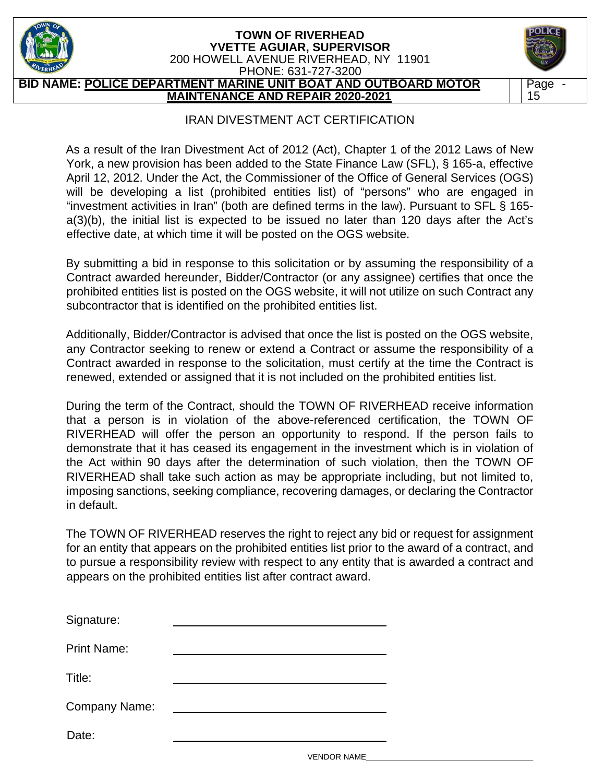

**BID NAME: POLICE DEPARTMENT MARINE UNIT BOAT AND OUTBOARD MOTOR MAINTENANCE AND REPAIR 2020-2021** 

## IRAN DIVESTMENT ACT CERTIFICATION

Page - 15

As a result of the Iran Divestment Act of 2012 (Act), Chapter 1 of the 2012 Laws of New York, a new provision has been added to the State Finance Law (SFL), § 165-a, effective April 12, 2012. Under the Act, the Commissioner of the Office of General Services (OGS) will be developing a list (prohibited entities list) of "persons" who are engaged in "investment activities in Iran" (both are defined terms in the law). Pursuant to SFL § 165 a(3)(b), the initial list is expected to be issued no later than 120 days after the Act's effective date, at which time it will be posted on the OGS website.

By submitting a bid in response to this solicitation or by assuming the responsibility of a Contract awarded hereunder, Bidder/Contractor (or any assignee) certifies that once the prohibited entities list is posted on the OGS website, it will not utilize on such Contract any subcontractor that is identified on the prohibited entities list.

Additionally, Bidder/Contractor is advised that once the list is posted on the OGS website, any Contractor seeking to renew or extend a Contract or assume the responsibility of a Contract awarded in response to the solicitation, must certify at the time the Contract is renewed, extended or assigned that it is not included on the prohibited entities list.

During the term of the Contract, should the TOWN OF RIVERHEAD receive information that a person is in violation of the above-referenced certification, the TOWN OF RIVERHEAD will offer the person an opportunity to respond. If the person fails to demonstrate that it has ceased its engagement in the investment which is in violation of the Act within 90 days after the determination of such violation, then the TOWN OF RIVERHEAD shall take such action as may be appropriate including, but not limited to, imposing sanctions, seeking compliance, recovering damages, or declaring the Contractor in default.

The TOWN OF RIVERHEAD reserves the right to reject any bid or request for assignment for an entity that appears on the prohibited entities list prior to the award of a contract, and to pursue a responsibility review with respect to any entity that is awarded a contract and appears on the prohibited entities list after contract award.

| Signature:         |  |
|--------------------|--|
| <b>Print Name:</b> |  |
| Title:             |  |
| Company Name:      |  |
| Date:              |  |